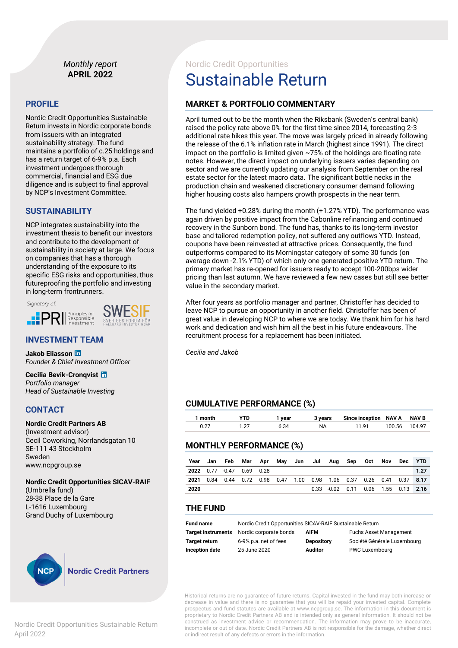### *Monthly report* **APRIL 2022**

#### **PROFILE**

Nordic Credit Opportunities Sustainable Return invests in Nordic corporate bonds from issuers with an integrated sustainability strategy. The fund maintains a portfolio of c.25 holdings and has a return target of 6-9% p.a. Each investment undergoes thorough commercial, financial and ESG due diligence and is subject to final approval by NCP's Investment Committee.

#### **SUSTAINABILITY**

NCP integrates sustainability into the investment thesis to benefit our investors and contribute to the development of sustainability in society at large. We focus on companies that has a thorough understanding of the exposure to its specific ESG risks and opportunities, thus futureproofing the portfolio and investing in long-term frontrunners.

Signatory of:



#### **INVESTMENT TEAM**

**Jakob Eliasson**  *Founder & Chief Investment Officer*

**Cecilia Bevik-Cronqvist** *Portfolio manager Head of Sustainable Investing*

#### **CONTACT**

#### **Nordic Credit Partners AB**

(Investment advisor) Cecil Coworking, Norrlandsgatan 10 SE-111 43 Stockholm Sweden www.ncpgroup.se

**Nordic Credit Opportunities SICAV-RAIF** (Umbrella fund) 28-38 Place de la Gare L-1616 Luxembourg Grand Duchy of Luxembourg



#### **Nordic Credit Partners**

# Nordic Credit Opportunities Sustainable Return

# **MARKET & PORTFOLIO COMMENTARY**

April turned out to be the month when the Riksbank (Sweden's central bank) raised the policy rate above 0% for the first time since 2014, forecasting 2-3 additional rate hikes this year. The move was largely priced in already following the release of the 6.1% inflation rate in March (highest since 1991). The direct impact on the portfolio is limited given ~75% of the holdings are floating rate notes. However, the direct impact on underlying issuers varies depending on sector and we are currently updating our analysis from September on the real estate sector for the latest macro data. The significant bottle necks in the production chain and weakened discretionary consumer demand following higher housing costs also hampers growth prospects in the near term.

The fund yielded +0.28% during the month (+1.27% YTD). The performance was again driven by positive impact from the Cabonline refinancing and continued recovery in the Sunborn bond. The fund has, thanks to its long-term investor base and tailored redemption policy, not suffered any outflows YTD. Instead, coupons have been reinvested at attractive prices. Consequently, the fund outperforms compared to its Morningstar category of some 30 funds (on average down -2.1% YTD) of which only one generated positive YTD return. The primary market has re-opened for issuers ready to accept 100-200bps wider pricing than last autumn. We have reviewed a few new cases but still see better value in the secondary market.

After four years as portfolio manager and partner, Christoffer has decided to leave NCP to pursue an opportunity in another field. Christoffer has been of great value in developing NCP to where we are today. We thank him for his hard work and dedication and wish him all the best in his future endeavours. The recruitment process for a replacement has been initiated.

*Cecilia and Jakob*

## **CUMULATIVE PERFORMANCE (%)**

| l month | ™TD | vear | 3 vears | Since inception NAV A |        | NAV B  |
|---------|-----|------|---------|-----------------------|--------|--------|
|         |     | 6.34 | ΝA      | 11 91                 | 100.56 | 104.97 |

#### **MONTHLY PERFORMANCE (%)**

| Year | Jan | Feb                                                              | Mar Apr May Jun Jul Aug |  |  |                                        | Sep Oct | Nov | Dec YTD |
|------|-----|------------------------------------------------------------------|-------------------------|--|--|----------------------------------------|---------|-----|---------|
|      |     | 2022 0.77 -0.47 0.69 0.28                                        |                         |  |  |                                        |         |     | 1.27    |
| 2021 |     | 0.84 0.44 0.72 0.98 0.47 1.00 0.98 1.06 0.37 0.26 0.41 0.37 8.17 |                         |  |  |                                        |         |     |         |
| 2020 |     |                                                                  |                         |  |  | $0.33 - 0.02$ 0.11 0.06 1.55 0.13 2.16 |         |     |         |

#### **THE FUND**

| <b>Fund name</b>     | Nordic Credit Opportunities SICAV-RAIF Sustainable Return |                   |                               |  |  |
|----------------------|-----------------------------------------------------------|-------------------|-------------------------------|--|--|
| Target instruments   | Nordic corporate bonds                                    | <b>AIFM</b>       | <b>Fuchs Asset Management</b> |  |  |
| <b>Target return</b> | 6-9% p.a. net of fees                                     | <b>Depository</b> | Société Générale Luxembourg   |  |  |
| Inception date       | 25 June 2020                                              | <b>Auditor</b>    | PWC Luxembourg                |  |  |

Historical returns are no guarantee of future returns. Capital invested in the fund may both increase or decrease in value and there is no guarantee that you will be repaid your invested capital. Complete prospectus and fund statutes are available at www.ncpgroup.se. The information in this document is proprietary to Nordic Credit Partners AB and is intended only as general information. It should not be construed as investment advice or recommendation. The information may prove to be inaccurate, incomplete or out of date. Nordic Credit Partners AB is not responsible for the damage, whether direct or indirect result of any defects or errors in the information.

Nordic Credit Opportunities Sustainable Return April 2022